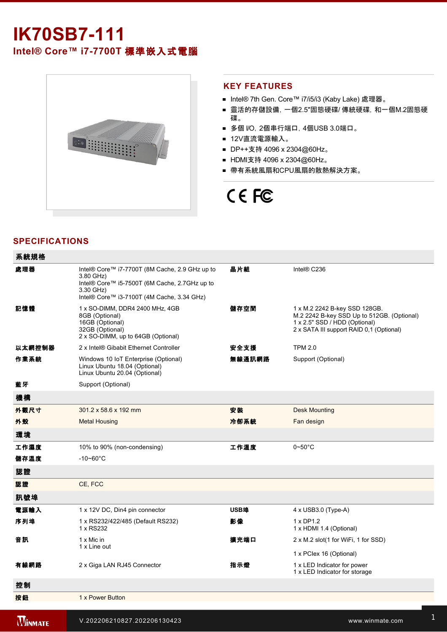# **IK70SB7111** Intel® Core™ i7-7700T 標準嵌入式電腦



## **KEY FEATURES**

- Intel® 7th Gen. Core™ i7/i5/i3 (Kaby Lake) 處理器。
- 靈活的存儲設備, 一個2.5"固態硬碟/ 傳統硬碟, 和一個M.2固態硬 碟。
- 多個 I/O, 2個串行端口, 4個USB 3.0端口。
- 12V直流電源輸入。
- DP++支持 4096 x 2304@60Hz。
- HDMI支持 4096 x 2304@60Hz。
- 帶有系統風扇和CPU風扇的散熱解決方案。

# CE FC

# **SPECIFICATIONS**

| 系統規格   |                                                                                                                                                                         |        |                                                                                                                                                          |
|--------|-------------------------------------------------------------------------------------------------------------------------------------------------------------------------|--------|----------------------------------------------------------------------------------------------------------------------------------------------------------|
| 處理器    | Intel® Core™ i7-7700T (8M Cache, 2.9 GHz up to<br>3.80 GHz)<br>Intel® Core™ i5-7500T (6M Cache, 2.7GHz up to<br>3.30 GHz)<br>Intel® Core™ i3-7100T (4M Cache, 3.34 GHz) | 晶片組    | Intel® C236                                                                                                                                              |
| 記憶體    | 1 x SO-DIMM, DDR4 2400 MHz, 4GB<br>8GB (Optional)<br>16GB (Optional)<br>32GB (Optional)<br>2 x SO-DIMM, up to 64GB (Optional)                                           | 儲存空間   | 1 x M.2 2242 B-key SSD 128GB.<br>M.2 2242 B-key SSD Up to 512GB. (Optional)<br>1 x 2.5" SSD / HDD (Optional)<br>2 x SATA III support RAID 0,1 (Optional) |
| 以太網控制器 | 2 x Intel® Gibabit Ethernet Controller                                                                                                                                  | 安全支援   | <b>TPM 2.0</b>                                                                                                                                           |
| 作業系統   | Windows 10 IoT Enterprise (Optional)<br>Linux Ubuntu 18.04 (Optional)<br>Linux Ubuntu 20.04 (Optional)                                                                  | 無線通訊網路 | Support (Optional)                                                                                                                                       |
| 藍牙     | Support (Optional)                                                                                                                                                      |        |                                                                                                                                                          |
| 機構     |                                                                                                                                                                         |        |                                                                                                                                                          |
| 外觀尺寸   | 301.2 x 58.6 x 192 mm                                                                                                                                                   | 安装     | <b>Desk Mounting</b>                                                                                                                                     |
| 外殼     | <b>Metal Housing</b>                                                                                                                                                    | 冷卻系統   | Fan design                                                                                                                                               |
| 環境     |                                                                                                                                                                         |        |                                                                                                                                                          |
| 工作濕度   | 10% to 90% (non-condensing)                                                                                                                                             | 工作溫度   | $0\neg 50^\circ C$                                                                                                                                       |
| 儲存溫度   | $-10 - 60^{\circ}$ C                                                                                                                                                    |        |                                                                                                                                                          |
| 認證     |                                                                                                                                                                         |        |                                                                                                                                                          |
| 認證     | CE, FCC                                                                                                                                                                 |        |                                                                                                                                                          |
| 訊號埠    |                                                                                                                                                                         |        |                                                                                                                                                          |
| 電源輸入   | 1 x 12V DC, Din4 pin connector                                                                                                                                          | USB埠   | 4 x USB3.0 (Type-A)                                                                                                                                      |
| 序列埠    | 1 x RS232/422/485 (Default RS232)<br>1 x RS232                                                                                                                          | 影像     | $1 \times DP1.2$<br>1 x HDMI 1.4 (Optional)                                                                                                              |
| 音訊     | 1 x Mic in<br>1 x Line out                                                                                                                                              | 擴充端口   | 2 x M.2 slot(1 for WiFi, 1 for SSD)                                                                                                                      |
|        |                                                                                                                                                                         |        | 1 x PClex 16 (Optional)                                                                                                                                  |
| 有線網路   | 2 x Giga LAN RJ45 Connector                                                                                                                                             | 指示燈    | 1 x LED Indicator for power<br>1 x LED Indicator for storage                                                                                             |
| 控制     |                                                                                                                                                                         |        |                                                                                                                                                          |
| 按鈕     | 1 x Power Button                                                                                                                                                        |        |                                                                                                                                                          |
|        |                                                                                                                                                                         |        |                                                                                                                                                          |

enter 100~240V AC to DC Adapter 100~240V AC to DC Adapter 100 AC to DC Adapter 100 AC to DC Adapter 100 AC to